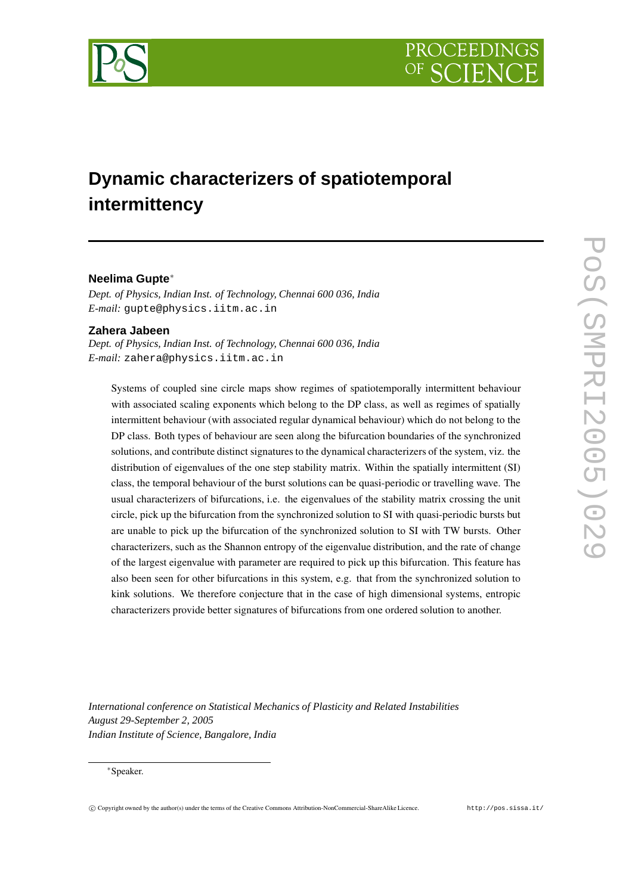



# **Dynamic characterizers of spatiotemporal intermittency**

# **Neelima Gupte**<sup>∗</sup>

*Dept. of Physics, Indian Inst. of Technology, Chennai 600 036, India E-mail:* gupte@physics.iitm.ac.in

### **Zahera Jabeen**

*Dept. of Physics, Indian Inst. of Technology, Chennai 600 036, India E-mail:* zahera@physics.iitm.ac.in

Systems of coupled sine circle maps show regimes of spatiotemporally intermittent behaviour with associated scaling exponents which belong to the DP class, as well as regimes of spatially intermittent behaviour (with associated regular dynamical behaviour) which do not belong to the DP class. Both types of behaviour are seen along the bifurcation boundaries of the synchronized solutions, and contribute distinct signatures to the dynamical characterizers of the system, viz. the distribution of eigenvalues of the one step stability matrix. Within the spatially intermittent (SI) class, the temporal behaviour of the burst solutions can be quasi-periodic or travelling wave. The usual characterizers of bifurcations, i.e. the eigenvalues of the stability matrix crossing the unit circle, pick up the bifurcation from the synchronized solution to SI with quasi-periodic bursts but are unable to pick up the bifurcation of the synchronized solution to SI with TW bursts. Other characterizers, such as the Shannon entropy of the eigenvalue distribution, and the rate of change of the largest eigenvalue with parameter are required to pick up this bifurcation. This feature has also been seen for other bifurcations in this system, e.g. that from the synchronized solution to kink solutions. We therefore conjecture that in the case of high dimensional systems, entropic characterizers provide better signatures of bifurcations from one ordered solution to another.

*International conference on Statistical Mechanics of Plasticity and Related Instabilities August 29-September 2, 2005 Indian Institute of Science, Bangalore, India*

### <sup>∗</sup>Speaker.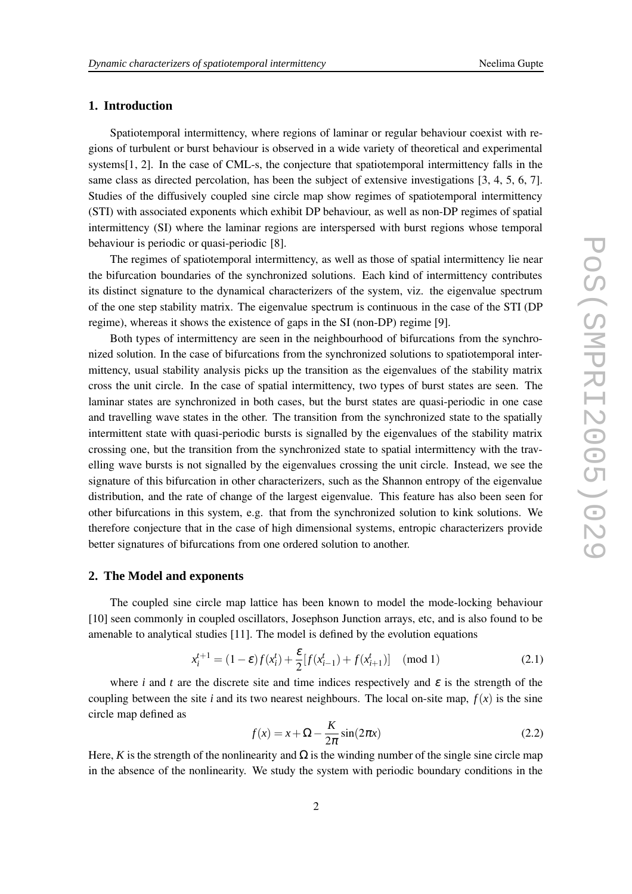# **1. Introduction**

Spatiotemporal intermittency, where regions of laminar or regular behaviour coexist with regions of turbulent or burst behaviour is observed in a wide variety of theoretical and experimental systems[1, 2]. In the case of CML-s, the conjecture that spatiotemporal intermittency falls in the same class as directed percolation, has been the subject of extensive investigations [3, 4, 5, 6, 7]. Studies of the diffusively coupled sine circle map show regimes of spatiotemporal intermittency (STI) with associated exponents which exhibit DP behaviour, as well as non-DP regimes of spatial intermittency (SI) where the laminar regions are interspersed with burst regions whose temporal behaviour is periodic or quasi-periodic [8].

The regimes of spatiotemporal intermittency, as well as those of spatial intermittency lie near the bifurcation boundaries of the synchronized solutions. Each kind of intermittency contributes its distinct signature to the dynamical characterizers of the system, viz. the eigenvalue spectrum of the one step stability matrix. The eigenvalue spectrum is continuous in the case of the STI (DP regime), whereas it shows the existence of gaps in the SI (non-DP) regime [9].

Both types of intermittency are seen in the neighbourhood of bifurcations from the synchronized solution. In the case of bifurcations from the synchronized solutions to spatiotemporal intermittency, usual stability analysis picks up the transition as the eigenvalues of the stability matrix cross the unit circle. In the case of spatial intermittency, two types of burst states are seen. The laminar states are synchronized in both cases, but the burst states are quasi-periodic in one case and travelling wave states in the other. The transition from the synchronized state to the spatially intermittent state with quasi-periodic bursts is signalled by the eigenvalues of the stability matrix crossing one, but the transition from the synchronized state to spatial intermittency with the travelling wave bursts is not signalled by the eigenvalues crossing the unit circle. Instead, we see the signature of this bifurcation in other characterizers, such as the Shannon entropy of the eigenvalue distribution, and the rate of change of the largest eigenvalue. This feature has also been seen for other bifurcations in this system, e.g. that from the synchronized solution to kink solutions. We therefore conjecture that in the case of high dimensional systems, entropic characterizers provide better signatures of bifurcations from one ordered solution to another.

# **2. The Model and exponents**

The coupled sine circle map lattice has been known to model the mode-locking behaviour [10] seen commonly in coupled oscillators, Josephson Junction arrays, etc, and is also found to be amenable to analytical studies [11]. The model is defined by the evolution equations

$$
x_i^{t+1} = (1 - \varepsilon)f(x_i^t) + \frac{\varepsilon}{2}[f(x_{i-1}^t) + f(x_{i+1}^t)] \pmod{1}
$$
 (2.1)

where *i* and *t* are the discrete site and time indices respectively and  $\varepsilon$  is the strength of the coupling between the site *i* and its two nearest neighbours. The local on-site map,  $f(x)$  is the sine circle map defined as

$$
f(x) = x + \Omega - \frac{K}{2\pi} \sin(2\pi x)
$$
 (2.2)

Here, *K* is the strength of the nonlinearity and  $\Omega$  is the winding number of the single sine circle map in the absence of the nonlinearity. We study the system with periodic boundary conditions in the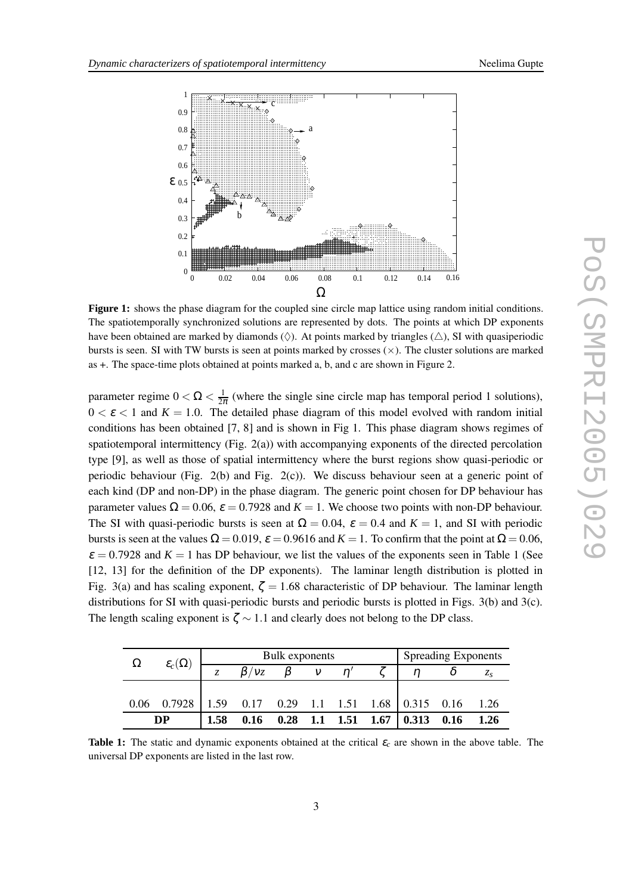

**Figure 1:** shows the phase diagram for the coupled sine circle map lattice using random initial conditions. The spatiotemporally synchronized solutions are represented by dots. The points at which DP exponents have been obtained are marked by diamonds ( $\Diamond$ ). At points marked by triangles ( $\triangle$ ), SI with quasiperiodic bursts is seen. SI with TW bursts is seen at points marked by crosses  $(x)$ . The cluster solutions are marked as +. The space-time plots obtained at points marked a, b, and c are shown in Figure 2.

parameter regime  $0 < \Omega < \frac{1}{2i}$  $\frac{1}{2\pi}$  (where the single sine circle map has temporal period 1 solutions),  $0 < \varepsilon < 1$  and  $K = 1.0$ . The detailed phase diagram of this model evolved with random initial conditions has been obtained [7, 8] and is shown in Fig 1. This phase diagram shows regimes of spatiotemporal intermittency (Fig. 2(a)) with accompanying exponents of the directed percolation type [9], as well as those of spatial intermittency where the burst regions show quasi-periodic or periodic behaviour (Fig. 2(b) and Fig. 2(c)). We discuss behaviour seen at a generic point of each kind (DP and non-DP) in the phase diagram. The generic point chosen for DP behaviour has parameter values  $\Omega = 0.06$ ,  $\varepsilon = 0.7928$  and  $K = 1$ . We choose two points with non-DP behaviour. The SI with quasi-periodic bursts is seen at  $\Omega = 0.04$ ,  $\varepsilon = 0.4$  and  $K = 1$ , and SI with periodic bursts is seen at the values  $\Omega = 0.019$ ,  $\varepsilon = 0.9616$  and  $K = 1$ . To confirm that the point at  $\Omega = 0.06$ ,  $\varepsilon = 0.7928$  and  $K = 1$  has DP behaviour, we list the values of the exponents seen in Table 1 (See [12, 13] for the definition of the DP exponents). The laminar length distribution is plotted in Fig. 3(a) and has scaling exponent,  $\zeta = 1.68$  characteristic of DP behaviour. The laminar length distributions for SI with quasi-periodic bursts and periodic bursts is plotted in Figs. 3(b) and 3(c). The length scaling exponent is  $\zeta \sim 1.1$  and clearly does not belong to the DP class.

| $\Omega$  | $\mathcal{E}_c(\Omega)$ |      |      | Bulk exponents | <b>Spreading Exponents</b> |  |                                         |      |      |
|-----------|-------------------------|------|------|----------------|----------------------------|--|-----------------------------------------|------|------|
|           |                         | 7    | /Vz  |                |                            |  |                                         |      |      |
|           |                         |      |      |                |                            |  |                                         |      |      |
| 0.06      | 0.7928                  |      |      |                |                            |  | 1.59 0.17 0.29 1.1 1.51 1.68 0.315 0.16 |      | 1.26 |
| <b>DP</b> |                         | 1.58 | 0.16 |                |                            |  | $0.28$ 1.1 1.51 1.67 0.313              | 0.16 | 1.26 |

**Table 1:** The static and dynamic exponents obtained at the critical  $\varepsilon_c$  are shown in the above table. The universal DP exponents are listed in the last row.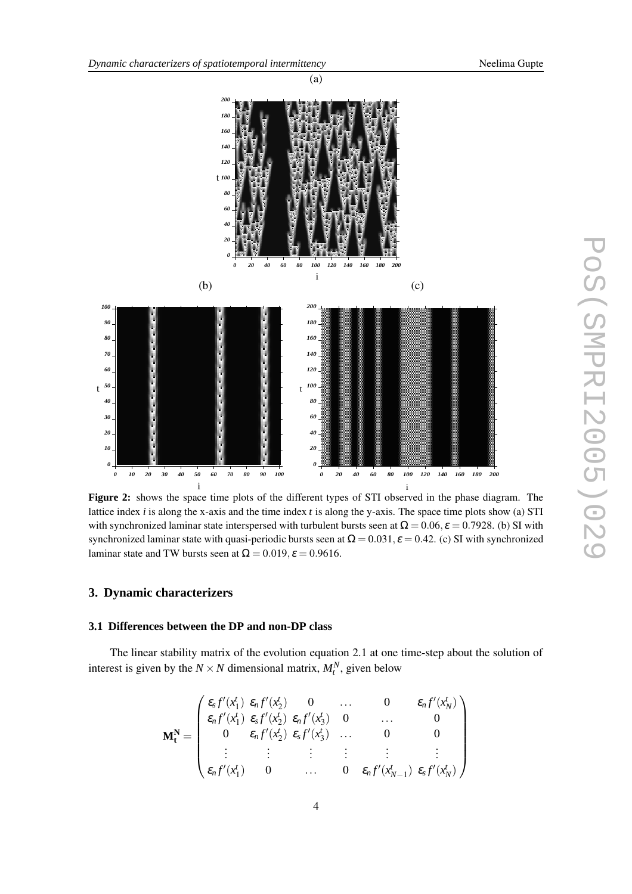

(a)

**Figure 2:** shows the space time plots of the different types of STI observed in the phase diagram. The lattice index *i* is along the x-axis and the time index *t* is along the y-axis. The space time plots show (a) STI with synchronized laminar state interspersed with turbulent bursts seen at  $\Omega = 0.06$ ,  $\varepsilon = 0.7928$ . (b) SI with synchronized laminar state with quasi-periodic bursts seen at  $\Omega = 0.031$ ,  $\varepsilon = 0.42$ . (c) SI with synchronized laminar state and TW bursts seen at  $\Omega = 0.019$ ,  $\varepsilon = 0.9616$ .

## **3. Dynamic characterizers**

## **3.1 Differences between the DP and non-DP class**

The linear stability matrix of the evolution equation 2.1 at one time-step about the solution of interest is given by the  $N \times N$  dimensional matrix,  $M_t^N$ , given below

$$
\mathbf{M}_{t}^{\mathbf{N}} = \begin{pmatrix} \varepsilon_{s} f'(x_{1}^{t}) & \varepsilon_{n} f'(x_{2}^{t}) & 0 & \dots & 0 & \varepsilon_{n} f'(x_{N}^{t}) \\ \varepsilon_{n} f'(x_{1}^{t}) & \varepsilon_{s} f'(x_{2}^{t}) & \varepsilon_{n} f'(x_{3}^{t}) & 0 & \dots & 0 \\ 0 & \varepsilon_{n} f'(x_{2}^{t}) & \varepsilon_{s} f'(x_{3}^{t}) & \dots & 0 & 0 \\ \vdots & \vdots & \vdots & \vdots & \vdots & \vdots \\ \varepsilon_{n} f'(x_{1}^{t}) & 0 & \dots & 0 & \varepsilon_{n} f'(x_{N-1}^{t}) & \varepsilon_{s} f'(x_{N}^{t}) \end{pmatrix}
$$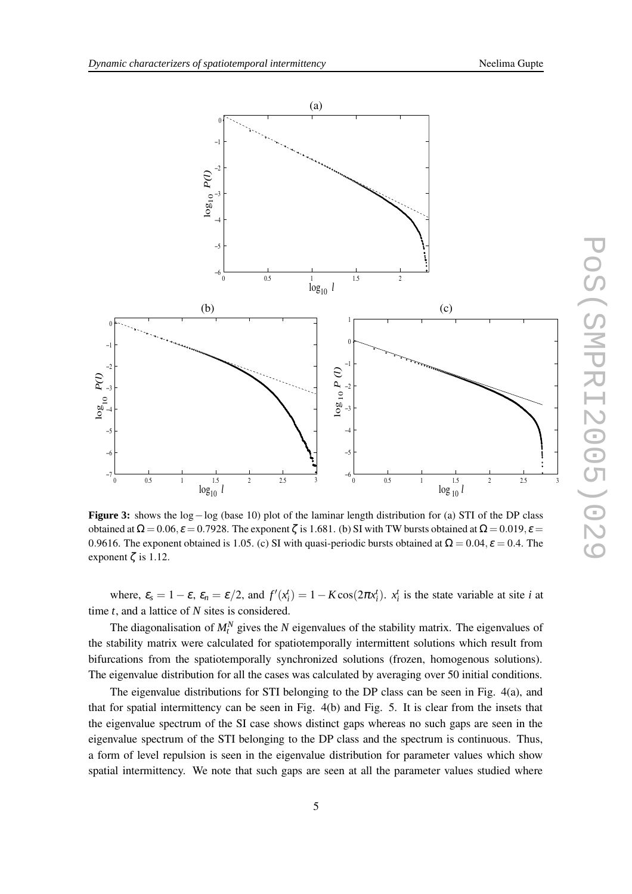

**Figure 3:** shows the log−log (base 10) plot of the laminar length distribution for (a) STI of the DP class obtained at  $\Omega = 0.06$ ,  $\varepsilon = 0.7928$ . The exponent  $\zeta$  is 1.681. (b) SI with TW bursts obtained at  $\Omega = 0.019$ ,  $\varepsilon =$ 0.9616. The exponent obtained is 1.05. (c) SI with quasi-periodic bursts obtained at  $\Omega = 0.04$ ,  $\varepsilon = 0.4$ . The exponent  $\zeta$  is 1.12.

where,  $\varepsilon_s = 1 - \varepsilon$ ,  $\varepsilon_n = \varepsilon/2$ , and  $f'(x_i^t) = 1 - K \cos(2\pi x_i^t)$ .  $x_i^t$  is the state variable at site *i* at time *t*, and a lattice of *N* sites is considered.

The diagonalisation of  $M_t^N$  gives the *N* eigenvalues of the stability matrix. The eigenvalues of the stability matrix were calculated for spatiotemporally intermittent solutions which result from bifurcations from the spatiotemporally synchronized solutions (frozen, homogenous solutions). The eigenvalue distribution for all the cases was calculated by averaging over 50 initial conditions.

The eigenvalue distributions for STI belonging to the DP class can be seen in Fig. 4(a), and that for spatial intermittency can be seen in Fig. 4(b) and Fig. 5. It is clear from the insets that the eigenvalue spectrum of the SI case shows distinct gaps whereas no such gaps are seen in the eigenvalue spectrum of the STI belonging to the DP class and the spectrum is continuous. Thus, a form of level repulsion is seen in the eigenvalue distribution for parameter values which show spatial intermittency. We note that such gaps are seen at all the parameter values studied where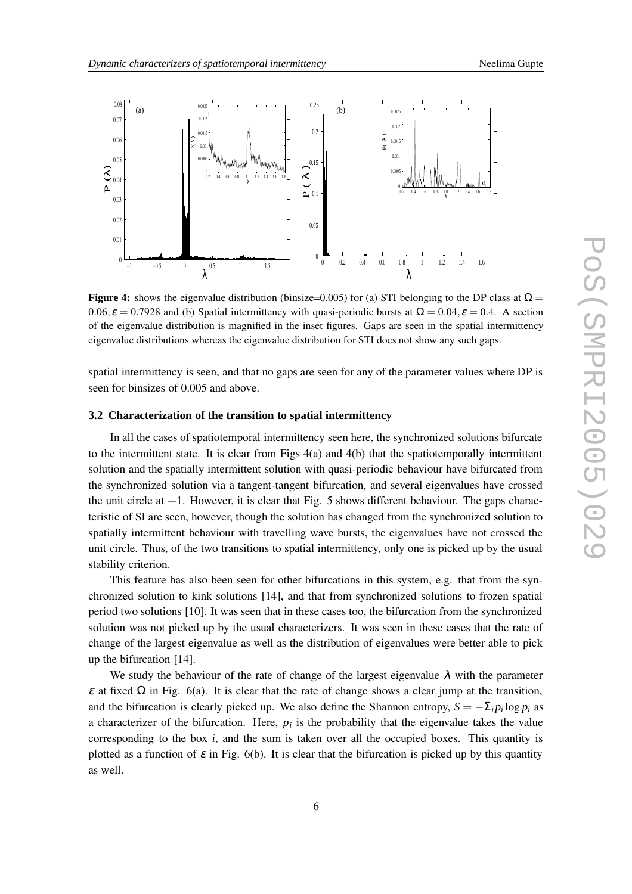

**Figure 4:** shows the eigenvalue distribution (binsize=0.005) for (a) STI belonging to the DP class at  $\Omega$  =  $0.06$ ,  $\varepsilon = 0.7928$  and (b) Spatial intermittency with quasi-periodic bursts at  $\Omega = 0.04$ ,  $\varepsilon = 0.4$ . A section of the eigenvalue distribution is magnified in the inset figures. Gaps are seen in the spatial intermittency eigenvalue distributions whereas the eigenvalue distribution for STI does not show any such gaps.

spatial intermittency is seen, and that no gaps are seen for any of the parameter values where DP is seen for binsizes of 0.005 and above.

#### **3.2 Characterization of the transition to spatial intermittency**

In all the cases of spatiotemporal intermittency seen here, the synchronized solutions bifurcate to the intermittent state. It is clear from Figs 4(a) and 4(b) that the spatiotemporally intermittent solution and the spatially intermittent solution with quasi-periodic behaviour have bifurcated from the synchronized solution via a tangent-tangent bifurcation, and several eigenvalues have crossed the unit circle at  $+1$ . However, it is clear that Fig. 5 shows different behaviour. The gaps characteristic of SI are seen, however, though the solution has changed from the synchronized solution to spatially intermittent behaviour with travelling wave bursts, the eigenvalues have not crossed the unit circle. Thus, of the two transitions to spatial intermittency, only one is picked up by the usual stability criterion.

This feature has also been seen for other bifurcations in this system, e.g. that from the synchronized solution to kink solutions [14], and that from synchronized solutions to frozen spatial period two solutions [10]. It was seen that in these cases too, the bifurcation from the synchronized solution was not picked up by the usual characterizers. It was seen in these cases that the rate of change of the largest eigenvalue as well as the distribution of eigenvalues were better able to pick up the bifurcation [14].

We study the behaviour of the rate of change of the largest eigenvalue  $\lambda$  with the parameter <sup>ε</sup> at fixed Ω in Fig. 6(a). It is clear that the rate of change shows a clear jump at the transition, and the bifurcation is clearly picked up. We also define the Shannon entropy,  $S = -\sum_i p_i \log p_i$  as a characterizer of the bifurcation. Here,  $p_i$  is the probability that the eigenvalue takes the value corresponding to the box  $i$ , and the sum is taken over all the occupied boxes. This quantity is plotted as a function of  $\varepsilon$  in Fig. 6(b). It is clear that the bifurcation is picked up by this quantity as well.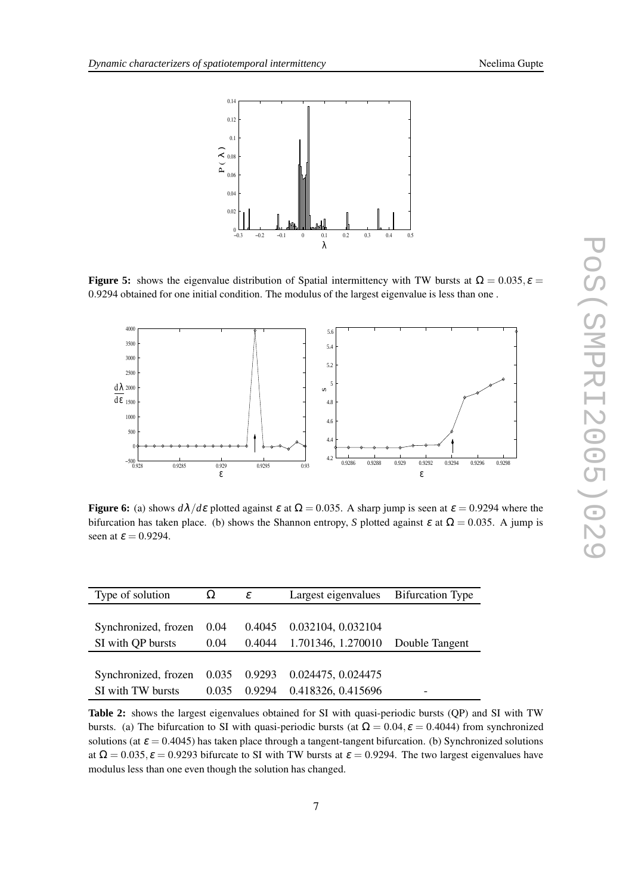

**Figure 5:** shows the eigenvalue distribution of Spatial intermittency with TW bursts at  $\Omega = 0.035$ ,  $\varepsilon =$ 0.9294 obtained for one initial condition. The modulus of the largest eigenvalue is less than one .



**Figure 6:** (a) shows  $d\lambda/d\varepsilon$  plotted against  $\varepsilon$  at  $\Omega = 0.035$ . A sharp jump is seen at  $\varepsilon = 0.9294$  where the bifurcation has taken place. (b) shows the Shannon entropy, *S* plotted against  $\varepsilon$  at  $\Omega = 0.035$ . A jump is seen at  $\varepsilon = 0.9294$ .

| Type of solution                                     | $\Omega$ | ε      | Largest eigenvalues Bifurcation Type     |  |  |
|------------------------------------------------------|----------|--------|------------------------------------------|--|--|
|                                                      |          |        |                                          |  |  |
| Synchronized, frozen 0.04                            |          | 0.4045 | 0.032104, 0.032104                       |  |  |
| SI with QP bursts                                    | 0.04     |        | 0.4044 1.701346, 1.270010 Double Tangent |  |  |
|                                                      |          |        |                                          |  |  |
| Synchronized, frozen 0.035 0.9293 0.024475, 0.024475 |          |        |                                          |  |  |
| SI with TW bursts                                    | 0.035    | 0.9294 | 0.418326, 0.415696                       |  |  |

**Table 2:** shows the largest eigenvalues obtained for SI with quasi-periodic bursts (QP) and SI with TW bursts. (a) The bifurcation to SI with quasi-periodic bursts (at  $\Omega = 0.04$ ,  $\varepsilon = 0.4044$ ) from synchronized solutions (at  $\varepsilon = 0.4045$ ) has taken place through a tangent-tangent bifurcation. (b) Synchronized solutions at  $\Omega = 0.035$ ,  $\varepsilon = 0.9293$  bifurcate to SI with TW bursts at  $\varepsilon = 0.9294$ . The two largest eigenvalues have modulus less than one even though the solution has changed.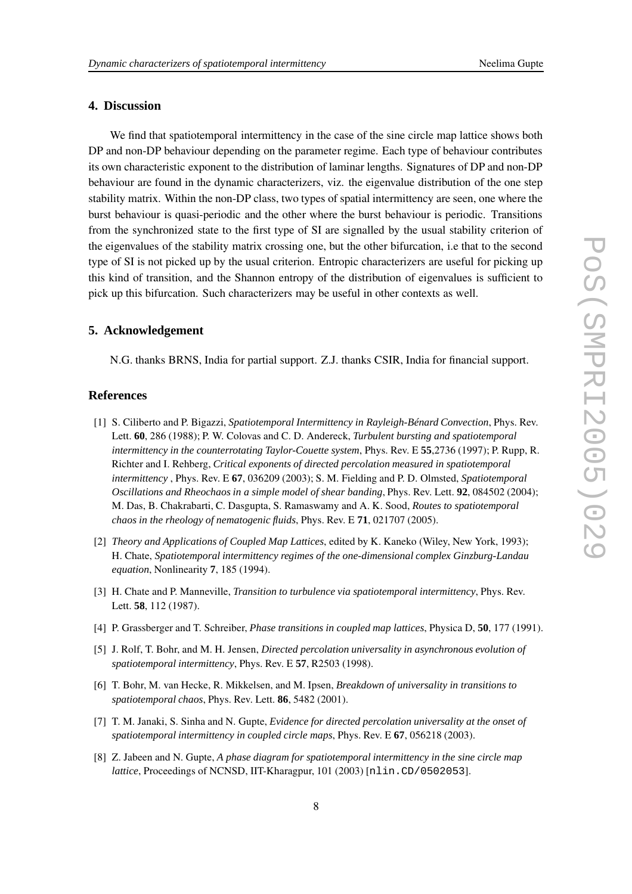# **4. Discussion**

We find that spatiotemporal intermittency in the case of the sine circle map lattice shows both DP and non-DP behaviour depending on the parameter regime. Each type of behaviour contributes its own characteristic exponent to the distribution of laminar lengths. Signatures of DP and non-DP behaviour are found in the dynamic characterizers, viz. the eigenvalue distribution of the one step stability matrix. Within the non-DP class, two types of spatial intermittency are seen, one where the burst behaviour is quasi-periodic and the other where the burst behaviour is periodic. Transitions from the synchronized state to the first type of SI are signalled by the usual stability criterion of the eigenvalues of the stability matrix crossing one, but the other bifurcation, i.e that to the second type of SI is not picked up by the usual criterion. Entropic characterizers are useful for picking up this kind of transition, and the Shannon entropy of the distribution of eigenvalues is sufficient to pick up this bifurcation. Such characterizers may be useful in other contexts as well.

## **5. Acknowledgement**

N.G. thanks BRNS, India for partial support. Z.J. thanks CSIR, India for financial support.

### **References**

- [1] S. Ciliberto and P. Bigazzi, *Spatiotemporal Intermittency in Rayleigh-Bénard Convection*, Phys. Rev. Lett. **60**, 286 (1988); P. W. Colovas and C. D. Andereck, *Turbulent bursting and spatiotemporal intermittency in the counterrotating Taylor-Couette system*, Phys. Rev. E **55**,2736 (1997); P. Rupp, R. Richter and I. Rehberg, *Critical exponents of directed percolation measured in spatiotemporal intermittency* , Phys. Rev. E **67**, 036209 (2003); S. M. Fielding and P. D. Olmsted, *Spatiotemporal Oscillations and Rheochaos in a simple model of shear banding*, Phys. Rev. Lett. **92**, 084502 (2004); M. Das, B. Chakrabarti, C. Dasgupta, S. Ramaswamy and A. K. Sood, *Routes to spatiotemporal chaos in the rheology of nematogenic fluids*, Phys. Rev. E **71**, 021707 (2005).
- [2] *Theory and Applications of Coupled Map Lattices*, edited by K. Kaneko (Wiley, New York, 1993); H. Chate, *Spatiotemporal intermittency regimes of the one-dimensional complex Ginzburg-Landau equation*, Nonlinearity **7**, 185 (1994).
- [3] H. Chate and P. Manneville, *Transition to turbulence via spatiotemporal intermittency*, Phys. Rev. Lett. **58**, 112 (1987).
- [4] P. Grassberger and T. Schreiber, *Phase transitions in coupled map lattices*, Physica D, **50**, 177 (1991).
- [5] J. Rolf, T. Bohr, and M. H. Jensen, *Directed percolation universality in asynchronous evolution of spatiotemporal intermittency*, Phys. Rev. E **57**, R2503 (1998).
- [6] T. Bohr, M. van Hecke, R. Mikkelsen, and M. Ipsen, *Breakdown of universality in transitions to spatiotemporal chaos*, Phys. Rev. Lett. **86**, 5482 (2001).
- [7] T. M. Janaki, S. Sinha and N. Gupte, *Evidence for directed percolation universality at the onset of spatiotemporal intermittency in coupled circle maps*, Phys. Rev. E **67**, 056218 (2003).
- [8] Z. Jabeen and N. Gupte, *A phase diagram for spatiotemporal intermittency in the sine circle map lattice*, Proceedings of NCNSD, IIT-Kharagpur, 101 (2003) [nlin.CD/0502053].